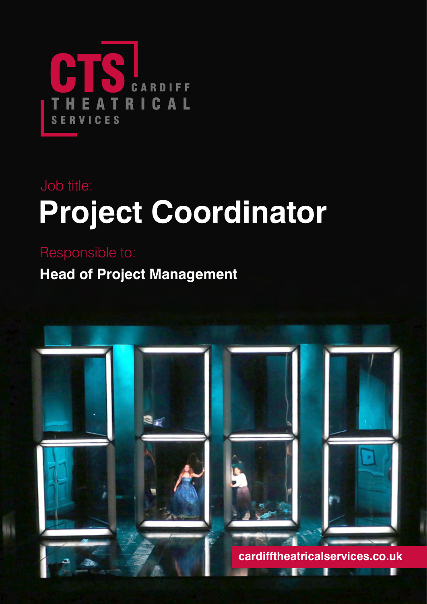

# **Project Coordinator** Job title:

**Head of Project Management** Responsible to:

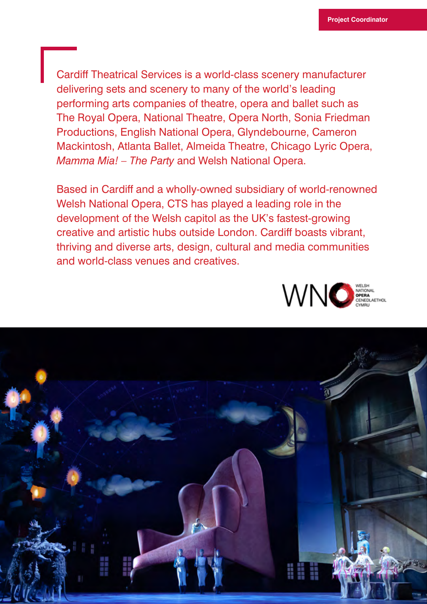Cardiff Theatrical Services is a world-class scenery manufacturer delivering sets and scenery to many of the world's leading performing arts companies of theatre, opera and ballet such as The Royal Opera, National Theatre, Opera North, Sonia Friedman Productions, English National Opera, Glyndebourne, Cameron Mackintosh, Atlanta Ballet, Almeida Theatre, Chicago Lyric Opera, *Mamma Mia! – The Party* and Welsh National Opera.

Based in Cardiff and a wholly-owned subsidiary of world-renowned Welsh National Opera, CTS has played a leading role in the development of the Welsh capitol as the UK's fastest-growing creative and artistic hubs outside London. Cardiff boasts vibrant, thriving and diverse arts, design, cultural and media communities and world-class venues and creatives.



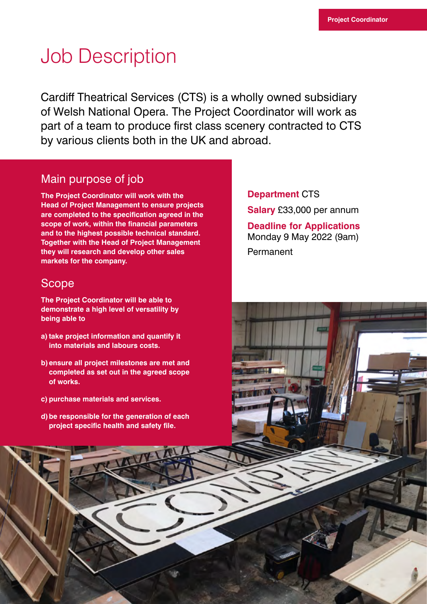## Job Description

Cardiff Theatrical Services (CTS) is a wholly owned subsidiary of Welsh National Opera. The Project Coordinator will work as part of a team to produce first class scenery contracted to CTS by various clients both in the UK and abroad.

## Main purpose of job

**The Project Coordinator will work with the Head of Project Management to ensure projects are completed to the specification agreed in the scope of work, within the financial parameters and to the highest possible technical standard. Together with the Head of Project Management they will research and develop other sales markets for the company.**

### Scope

**The Project Coordinator will be able to demonstrate a high level of versatility by being able to**

- a) take project information and quantify it **into materials and labours costs.**
- **b) ensure all project milestones are met and completed as set out in the agreed scope of works.**
- **c) purchase materials and services.**
- **d) be responsible for the generation of each project specific health and safety file.**

#### **Department** CTS

**Salary** £33,000 per annum

**Deadline for Applications**  Monday 9 May 2022 (9am) Permanent

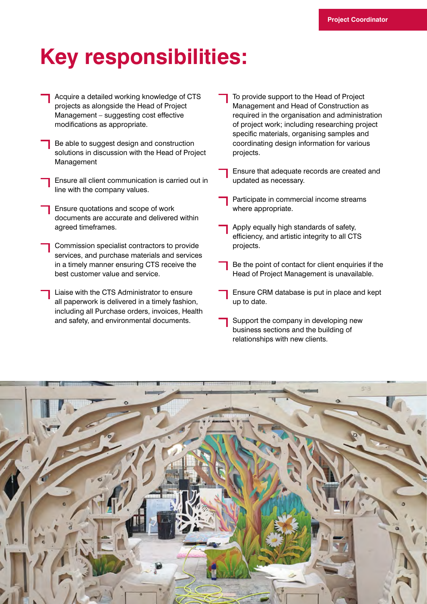## **Key responsibilities:**

- Acquire a detailed working knowledge of CTS projects as alongside the Head of Project Management – suggesting cost effective modifications as appropriate.
- Be able to suggest design and construction solutions in discussion with the Head of Project Management
- Ensure all client communication is carried out in line with the company values.
- Ensure quotations and scope of work documents are accurate and delivered within agreed timeframes.
- Commission specialist contractors to provide services, and purchase materials and services in a timely manner ensuring CTS receive the best customer value and service.
- Liaise with the CTS Administrator to ensure all paperwork is delivered in a timely fashion, including all Purchase orders, invoices, Health and safety, and environmental documents.
- To provide support to the Head of Project Management and Head of Construction as required in the organisation and administration of project work; including researching project specific materials, organising samples and coordinating design information for various projects.
- Ensure that adequate records are created and updated as necessary.
- Participate in commercial income streams where appropriate.
- Apply equally high standards of safety, efficiency, and artistic integrity to all CTS projects.
- Be the point of contact for client enquiries if the Head of Project Management is unavailable.
- Ensure CRM database is put in place and kept up to date.
- Support the company in developing new business sections and the building of relationships with new clients.

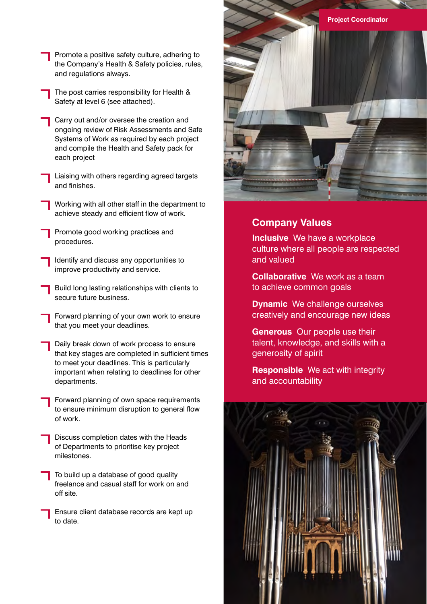- Promote a positive safety culture, adhering to the Company's Health & Safety policies, rules, and regulations always.
- The post carries responsibility for Health & Safety at level 6 (see attached).
- Carry out and/or oversee the creation and ongoing review of Risk Assessments and Safe Systems of Work as required by each project and compile the Health and Safety pack for each project
- Liaising with others regarding agreed targets and finishes.
- Working with all other staff in the department to achieve steady and efficient flow of work.
- Promote good working practices and procedures.
- Identify and discuss any opportunities to improve productivity and service.
- Build long lasting relationships with clients to secure future business.
- Forward planning of your own work to ensure that you meet your deadlines.
- Daily break down of work process to ensure that key stages are completed in sufficient times to meet your deadlines. This is particularly important when relating to deadlines for other departments.
	- Forward planning of own space requirements to ensure minimum disruption to general flow of work.
	- Discuss completion dates with the Heads of Departments to prioritise key project milestones.
	- To build up a database of good quality freelance and casual staff for work on and off site.
	- Ensure client database records are kept up to date.



### **Company Values**

**Inclusive** We have a workplace culture where all people are respected and valued

**Collaborative** We work as a team to achieve common goals

- **Dynamic** We challenge ourselves creatively and encourage new ideas
- **Generous** Our people use their talent, knowledge, and skills with a generosity of spirit

**Responsible** We act with integrity and accountability

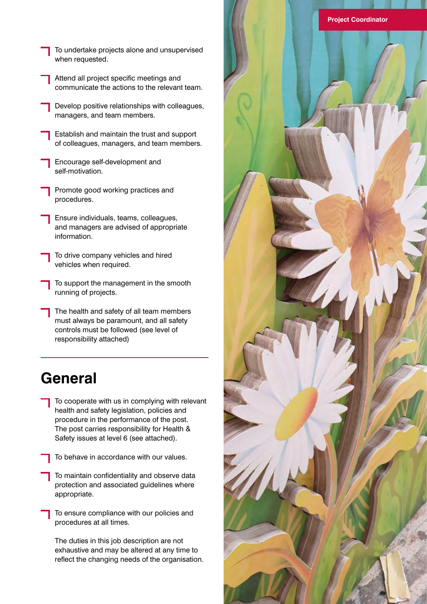- To undertake projects alone and unsupervised when requested.
- Attend all project specific meetings and communicate the actions to the relevant team.
- Develop positive relationships with colleagues, managers, and team members.
- Establish and maintain the trust and support of colleagues, managers, and team members.
- Encourage self-development and self-motivation.
- Promote good working practices and procedures.
- Ensure individuals, teams, colleagues, and managers are advised of appropriate information.
- To drive company vehicles and hired vehicles when required.
- To support the management in the smooth running of projects.
- The health and safety of all team members must always be paramount, and all safety controls must be followed (see level of responsibility attached)

## **General**

- To cooperate with us in complying with relevant health and safety legislation, policies and procedure in the performance of the post. The post carries responsibility for Health & Safety issues at level 6 (see attached).
- To behave in accordance with our values.
- To maintain confidentiality and observe data protection and associated guidelines where appropriate.
- To ensure compliance with our policies and procedures at all times.

 The duties in this job description are not exhaustive and may be altered at any time to reflect the changing needs of the organisation.

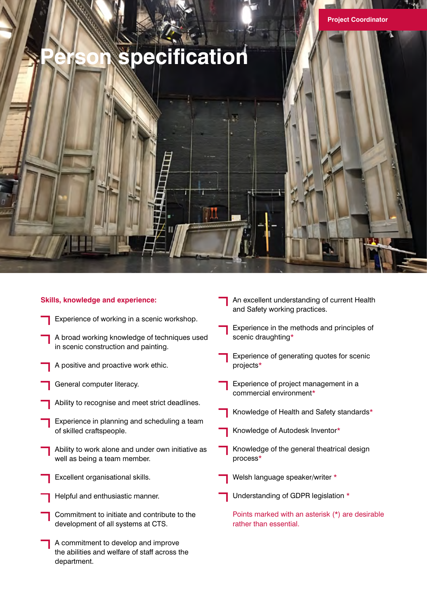## **Person specification**

## **Skills, knowledge and experience:**

- Experience of working in a scenic workshop.
- A broad working knowledge of techniques used in scenic construction and painting.
- A positive and proactive work ethic.
- General computer literacy.
- Ability to recognise and meet strict deadlines.
- Experience in planning and scheduling a team of skilled craftspeople.
- Ability to work alone and under own initiative as well as being a team member.
- Excellent organisational skills.
- Helpful and enthusiastic manner.
- Commitment to initiate and contribute to the development of all systems at CTS.
- A commitment to develop and improve the abilities and welfare of staff across the department.
- An excellent understanding of current Health and Safety working practices.
	- Experience in the methods and principles of scenic draughting\*
- Experience of generating quotes for scenic projects\*
- Experience of project management in a commercial environment\*
- Knowledge of Health and Safety standards\*
- Knowledge of Autodesk Inventor\*
- Knowledge of the general theatrical design process\*
- Welsh language speaker/writer \*
- Understanding of GDPR legislation \*
	- Points marked with an asterisk (\*) are desirable rather than essential.